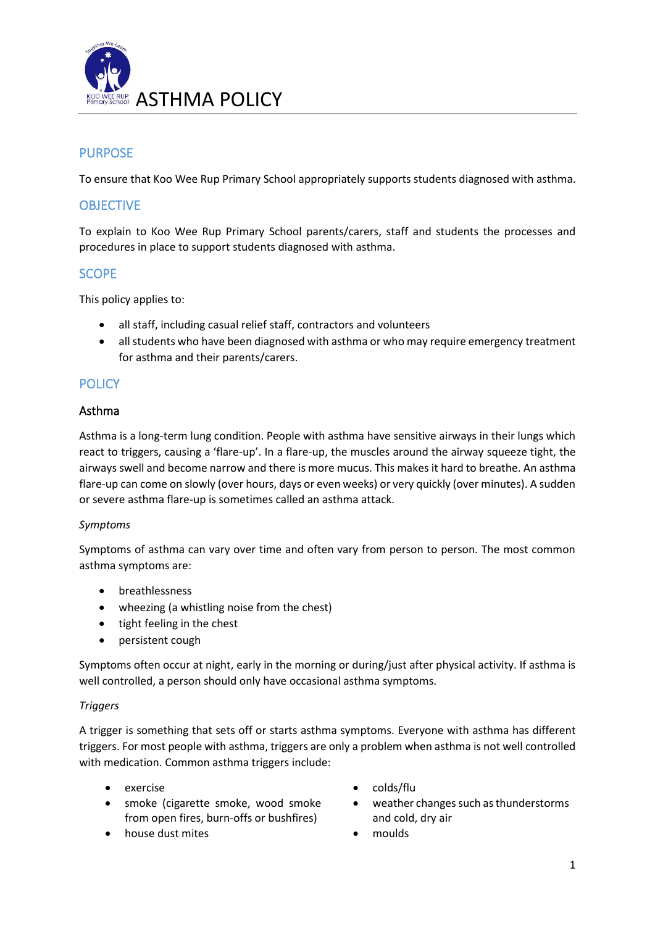

# PURPOSE

To ensure that Koo Wee Rup Primary School appropriately supports students diagnosed with asthma.

# **OBJECTIVE**

To explain to Koo Wee Rup Primary School parents/carers, staff and students the processes and procedures in place to support students diagnosed with asthma.

## **SCOPE**

This policy applies to:

- all staff, including casual relief staff, contractors and volunteers
- all students who have been diagnosed with asthma or who may require emergency treatment for asthma and their parents/carers.

## **POLICY**

### Asthma

Asthma is a long-term lung condition. People with asthma have sensitive airways in their lungs which react to triggers, causing a 'flare-up'. In a flare-up, the muscles around the airway squeeze tight, the airways swell and become narrow and there is more mucus. This makes it hard to breathe. An asthma flare-up can come on slowly (over hours, days or even weeks) or very quickly (over minutes). A sudden or severe asthma flare-up is sometimes called an asthma attack.

#### *Symptoms*

Symptoms of asthma can vary over time and often vary from person to person. The most common asthma symptoms are:

- breathlessness
- wheezing (a whistling noise from the chest)
- tight feeling in the chest
- persistent cough

Symptoms often occur at night, early in the morning or during/just after physical activity. If asthma is well controlled, a person should only have occasional asthma symptoms.

#### *Triggers*

A trigger is something that sets off or starts asthma symptoms. Everyone with asthma has different triggers. For most people with asthma, triggers are only a problem when asthma is not well controlled with medication. Common asthma triggers include:

- 
- smoke (cigarette smoke, wood smoke from open fires, burn-offs or bushfires)
- house dust mites moulds
- exercise colds/flu
	- weather changes such as thunderstorms and cold, dry air
	-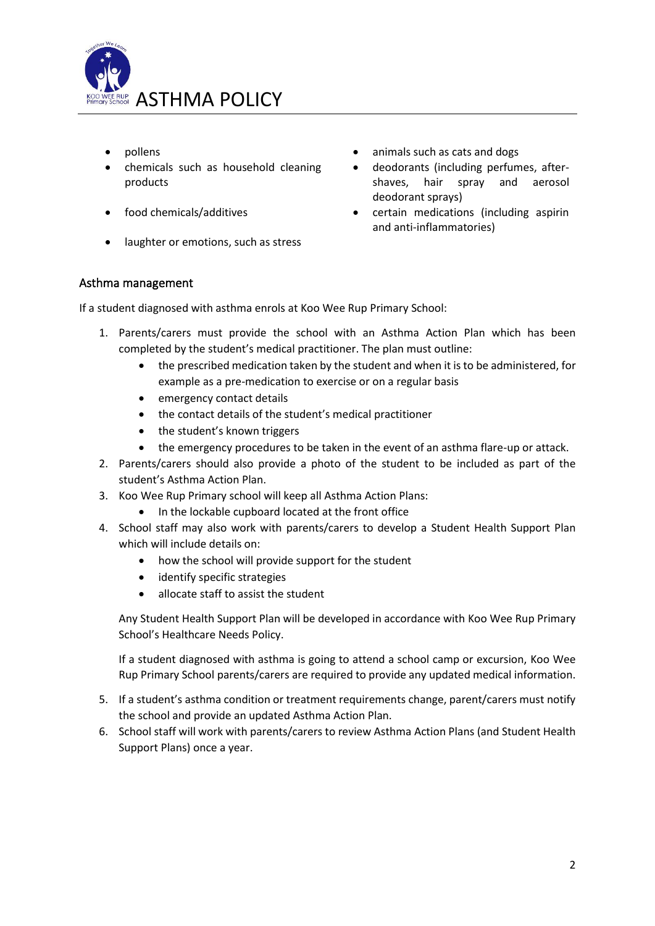

- 
- chemicals such as household cleaning products
- 
- laughter or emotions, such as stress
- pollens animals such as cats and dogs
	- deodorants (including perfumes, aftershaves, hair spray and aerosol deodorant sprays)
- food chemicals/additives certain medications (including aspirin and anti-inflammatories)

## Asthma management

If a student diagnosed with asthma enrols at Koo Wee Rup Primary School:

- 1. Parents/carers must provide the school with an Asthma Action Plan which has been completed by the student's medical practitioner. The plan must outline:
	- the prescribed medication taken by the student and when it is to be administered, for example as a pre-medication to exercise or on a regular basis
	- emergency contact details
	- the contact details of the student's medical practitioner
	- the student's known triggers
	- the emergency procedures to be taken in the event of an asthma flare-up or attack.
- 2. Parents/carers should also provide a photo of the student to be included as part of the student's Asthma Action Plan.
- 3. Koo Wee Rup Primary school will keep all Asthma Action Plans:
	- In the lockable cupboard located at the front office
- 4. School staff may also work with parents/carers to develop a Student Health Support Plan which will include details on:
	- how the school will provide support for the student
	- identify specific strategies
	- allocate staff to assist the student

Any Student Health Support Plan will be developed in accordance with Koo Wee Rup Primary School's Healthcare Needs Policy.

If a student diagnosed with asthma is going to attend a school camp or excursion, Koo Wee Rup Primary School parents/carers are required to provide any updated medical information.

- 5. If a student's asthma condition or treatment requirements change, parent/carers must notify the school and provide an updated Asthma Action Plan.
- 6. School staff will work with parents/carers to review Asthma Action Plans (and Student Health Support Plans) once a year.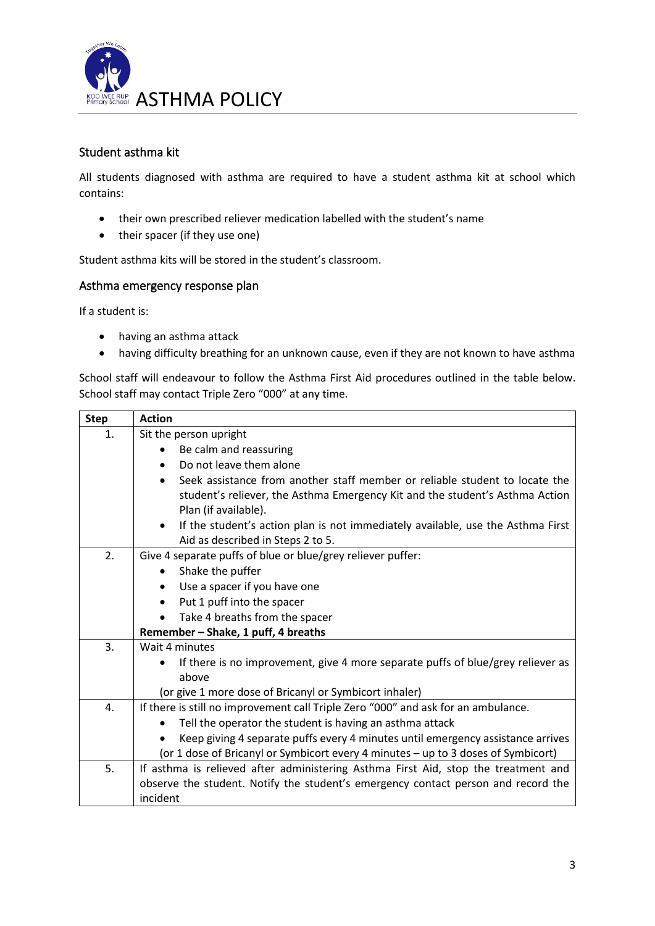

# Student asthma kit

All students diagnosed with asthma are required to have a student asthma kit at school which contains:

- their own prescribed reliever medication labelled with the student's name
- their spacer (if they use one)

Student asthma kits will be stored in the student's classroom.

### Asthma emergency response plan

If a student is:

- having an asthma attack
- having difficulty breathing for an unknown cause, even if they are not known to have asthma

School staff will endeavour to follow the Asthma First Aid procedures outlined in the table below. School staff may contact Triple Zero "000" at any time.

| <b>Step</b> | <b>Action</b>                                                                                                                                                                                    |  |  |  |  |  |
|-------------|--------------------------------------------------------------------------------------------------------------------------------------------------------------------------------------------------|--|--|--|--|--|
| 1.          | Sit the person upright                                                                                                                                                                           |  |  |  |  |  |
|             | Be calm and reassuring                                                                                                                                                                           |  |  |  |  |  |
|             | Do not leave them alone<br>$\bullet$                                                                                                                                                             |  |  |  |  |  |
|             | Seek assistance from another staff member or reliable student to locate the<br>$\bullet$<br>student's reliever, the Asthma Emergency Kit and the student's Asthma Action<br>Plan (if available). |  |  |  |  |  |
|             | If the student's action plan is not immediately available, use the Asthma First<br>$\bullet$<br>Aid as described in Steps 2 to 5.                                                                |  |  |  |  |  |
| 2.          | Give 4 separate puffs of blue or blue/grey reliever puffer:                                                                                                                                      |  |  |  |  |  |
|             | Shake the puffer<br>$\bullet$                                                                                                                                                                    |  |  |  |  |  |
|             | Use a spacer if you have one<br>$\bullet$                                                                                                                                                        |  |  |  |  |  |
|             | Put 1 puff into the spacer<br>$\bullet$                                                                                                                                                          |  |  |  |  |  |
|             | Take 4 breaths from the spacer<br>$\bullet$                                                                                                                                                      |  |  |  |  |  |
|             | Remember - Shake, 1 puff, 4 breaths                                                                                                                                                              |  |  |  |  |  |
| 3.          | Wait 4 minutes                                                                                                                                                                                   |  |  |  |  |  |
|             | If there is no improvement, give 4 more separate puffs of blue/grey reliever as                                                                                                                  |  |  |  |  |  |
|             | above                                                                                                                                                                                            |  |  |  |  |  |
|             | (or give 1 more dose of Bricanyl or Symbicort inhaler)                                                                                                                                           |  |  |  |  |  |
| 4.          | If there is still no improvement call Triple Zero "000" and ask for an ambulance.                                                                                                                |  |  |  |  |  |
|             | Tell the operator the student is having an asthma attack                                                                                                                                         |  |  |  |  |  |
|             | Keep giving 4 separate puffs every 4 minutes until emergency assistance arrives                                                                                                                  |  |  |  |  |  |
|             | (or 1 dose of Bricanyl or Symbicort every 4 minutes - up to 3 doses of Symbicort)                                                                                                                |  |  |  |  |  |
| 5.          | If asthma is relieved after administering Asthma First Aid, stop the treatment and<br>observe the student. Notify the student's emergency contact person and record the<br>incident              |  |  |  |  |  |
|             |                                                                                                                                                                                                  |  |  |  |  |  |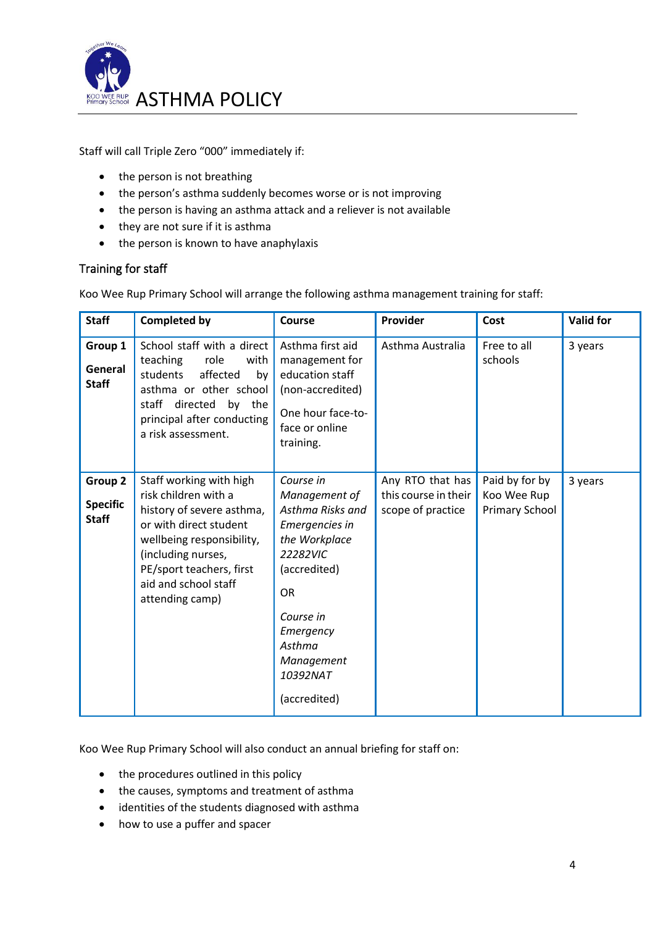

Staff will call Triple Zero "000" immediately if:

- the person is not breathing
- the person's asthma suddenly becomes worse or is not improving
- the person is having an asthma attack and a reliever is not available
- they are not sure if it is asthma
- the person is known to have anaphylaxis

### Training for staff

Koo Wee Rup Primary School will arrange the following asthma management training for staff:

| <b>Staff</b>                               | <b>Completed by</b>                                                                                                                                                                                                              | Course                                                                                                                                                                                                   | Provider                                                      | Cost                                            | <b>Valid for</b> |
|--------------------------------------------|----------------------------------------------------------------------------------------------------------------------------------------------------------------------------------------------------------------------------------|----------------------------------------------------------------------------------------------------------------------------------------------------------------------------------------------------------|---------------------------------------------------------------|-------------------------------------------------|------------------|
| Group 1<br>General<br><b>Staff</b>         | School staff with a direct<br>teaching<br>role<br>with<br>students<br>affected<br>by<br>asthma or other school<br>staff directed<br>by the<br>principal after conducting<br>a risk assessment.                                   | Asthma first aid<br>management for<br>education staff<br>(non-accredited)<br>One hour face-to-<br>face or online<br>training.                                                                            | Asthma Australia                                              | Free to all<br>schools                          | 3 years          |
| Group 2<br><b>Specific</b><br><b>Staff</b> | Staff working with high<br>risk children with a<br>history of severe asthma,<br>or with direct student<br>wellbeing responsibility,<br>(including nurses,<br>PE/sport teachers, first<br>aid and school staff<br>attending camp) | Course in<br>Management of<br>Asthma Risks and<br>Emergencies in<br>the Workplace<br>22282VIC<br>(accredited)<br><b>OR</b><br>Course in<br>Emergency<br>Asthma<br>Management<br>10392NAT<br>(accredited) | Any RTO that has<br>this course in their<br>scope of practice | Paid by for by<br>Koo Wee Rup<br>Primary School | 3 years          |

Koo Wee Rup Primary School will also conduct an annual briefing for staff on:

- the procedures outlined in this policy
- the causes, symptoms and treatment of asthma
- identities of the students diagnosed with asthma
- how to use a puffer and spacer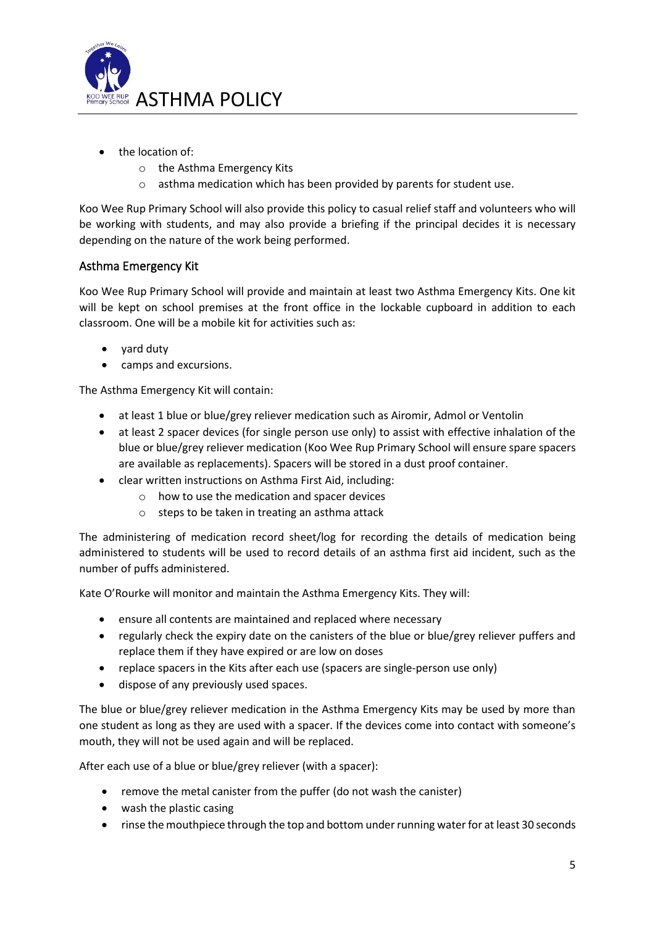

- the location of:
	- o the Asthma Emergency Kits
	- o asthma medication which has been provided by parents for student use.

Koo Wee Rup Primary School will also provide this policy to casual relief staff and volunteers who will be working with students, and may also provide a briefing if the principal decides it is necessary depending on the nature of the work being performed.

## Asthma Emergency Kit

Koo Wee Rup Primary School will provide and maintain at least two Asthma Emergency Kits. One kit will be kept on school premises at the front office in the lockable cupboard in addition to each classroom. One will be a mobile kit for activities such as:

- yard duty
- camps and excursions.

The Asthma Emergency Kit will contain:

- at least 1 blue or blue/grey reliever medication such as Airomir, Admol or Ventolin
- at least 2 spacer devices (for single person use only) to assist with effective inhalation of the blue or blue/grey reliever medication (Koo Wee Rup Primary School will ensure spare spacers are available as replacements). Spacers will be stored in a dust proof container.
- clear written instructions on Asthma First Aid, including:
	- o how to use the medication and spacer devices
	- o steps to be taken in treating an asthma attack

The administering of medication record sheet/log for recording the details of medication being administered to students will be used to record details of an asthma first aid incident, such as the number of puffs administered.

Kate O'Rourke will monitor and maintain the Asthma Emergency Kits. They will:

- ensure all contents are maintained and replaced where necessary
- regularly check the expiry date on the canisters of the blue or blue/grey reliever puffers and replace them if they have expired or are low on doses
- replace spacers in the Kits after each use (spacers are single-person use only)
- dispose of any previously used spaces.

The blue or blue/grey reliever medication in the Asthma Emergency Kits may be used by more than one student as long as they are used with a spacer. If the devices come into contact with someone's mouth, they will not be used again and will be replaced.

After each use of a blue or blue/grey reliever (with a spacer):

- remove the metal canister from the puffer (do not wash the canister)
- wash the plastic casing
- rinse the mouthpiece through the top and bottom under running water for at least 30 seconds